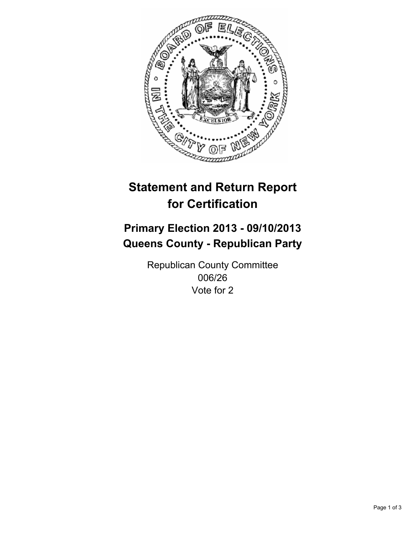

# **Statement and Return Report for Certification**

# **Primary Election 2013 - 09/10/2013 Queens County - Republican Party**

Republican County Committee 006/26 Vote for 2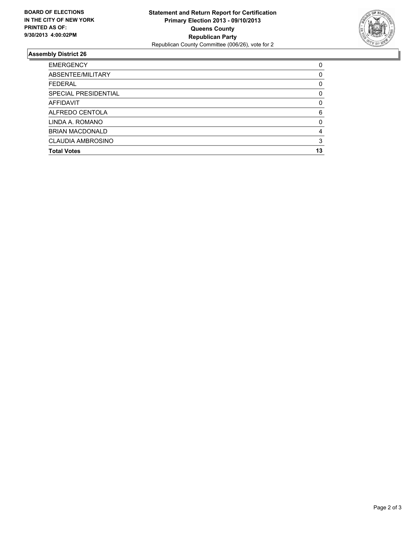

## **Assembly District 26**

| ABSENTEE/MILITARY<br><b>FEDERAL</b><br>SPECIAL PRESIDENTIAL<br>AFFIDAVIT<br>ALFREDO CENTOLA<br>LINDA A. ROMANO<br><b>BRIAN MACDONALD</b><br>CLAUDIA AMBROSINO<br><b>Total Votes</b> | <b>EMERGENCY</b> | 0        |
|-------------------------------------------------------------------------------------------------------------------------------------------------------------------------------------|------------------|----------|
|                                                                                                                                                                                     |                  | 0        |
|                                                                                                                                                                                     |                  | 0        |
|                                                                                                                                                                                     |                  | 0        |
|                                                                                                                                                                                     |                  | $\Omega$ |
|                                                                                                                                                                                     |                  | 6        |
|                                                                                                                                                                                     |                  | $\Omega$ |
|                                                                                                                                                                                     |                  | 4        |
|                                                                                                                                                                                     |                  | 3        |
|                                                                                                                                                                                     |                  | 13       |